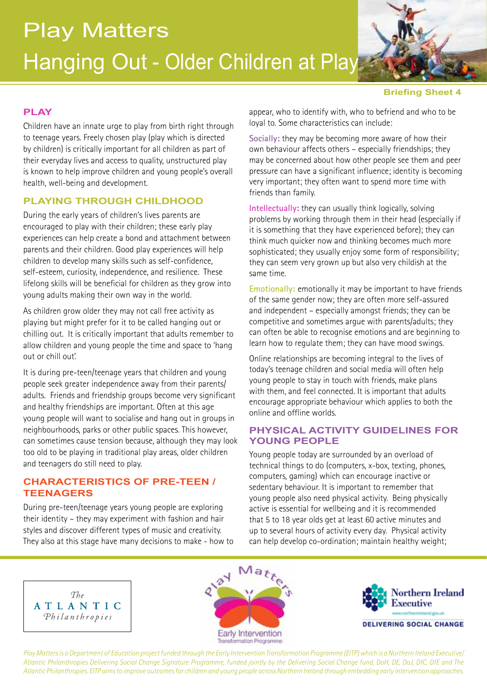

#### **Briefing Sheet 4**

## **PLAY**

Children have an innate urge to play from birth right through to teenage years. Freely chosen play (play which is directed by children) is critically important for all children as part of their everyday lives and access to quality, unstructured play is known to help improve children and young people's overall health, well-being and development.

# **PLAYING THROUGH CHILDHOOD**

During the early years of children's lives parents are encouraged to play with their children; these early play experiences can help create a bond and attachment between parents and their children. Good play experiences will help children to develop many skills such as self-confidence, self-esteem, curiosity, independence, and resilience. These lifelong skills will be beneficial for children as they grow into young adults making their own way in the world.

As children grow older they may not call free activity as playing but might prefer for it to be called hanging out or chilling out. It is critically important that adults remember to allow children and young people the time and space to 'hang out or chill out'.

It is during pre-teen/teenage years that children and young people seek greater independence away from their parents/ adults. Friends and friendship groups become very significant and healthy friendships are important. Often at this age young people will want to socialise and hang out in groups in neighbourhoods, parks or other public spaces. This however, can sometimes cause tension because, although they may look too old to be playing in traditional play areas, older children and teenagers do still need to play.

#### **CHARACTERISTICS OF PRE-TEEN / TEENAGERS**

During pre-teen/teenage years young people are exploring their identity – they may experiment with fashion and hair styles and discover different types of music and creativity. They also at this stage have many decisions to make - how to appear, who to identify with, who to befriend and who to be loyal to. Some characteristics can include:

**Socially:** they may be becoming more aware of how their own behaviour affects others – especially friendships; they may be concerned about how other people see them and peer pressure can have a significant influence; identity is becoming very important; they often want to spend more time with friends than family.

**Intellectually:** they can usually think logically, solving problems by working through them in their head (especially if it is something that they have experienced before); they can think much quicker now and thinking becomes much more sophisticated; they usually enjoy some form of responsibility; they can seem very grown up but also very childish at the same time.

**Emotionally:** emotionally it may be important to have friends of the same gender now; they are often more self-assured and independent – especially amongst friends; they can be competitive and sometimes argue with parents/adults; they can often be able to recognise emotions and are beginning to learn how to regulate them; they can have mood swings.

Online relationships are becoming integral to the lives of today's teenage children and social media will often help young people to stay in touch with friends, make plans with them, and feel connected. It is important that adults encourage appropriate behaviour which applies to both the online and offline worlds.

#### **PHYSICAL ACTIVITY GUIDELINES FOR YOUNG PEOPLE**

Young people today are surrounded by an overload of technical things to do (computers, x-box, texting, phones, computers, gaming) which can encourage inactive or sedentary behaviour. It is important to remember that young people also need physical activity. Being physically active is essential for wellbeing and it is recommended that 5 to 18 year olds get at least 60 active minutes and up to several hours of activity every day. Physical activity can help develop co-ordination; maintain healthy weight;







*Play Matters is a Department of Education project funded through the Early Intervention Transformation Programme (EITP) which is a Northern Ireland Executive/ Atlantic Philanthropies Delivering Social Change Signature Programme, funded jointly by the Delivering Social Change fund, DoH, DE, DoJ, DfC, DfE and The Atlantic Philanthropies. EITP aims to improve outcomes for children and young people across Northern Ireland through embedding early intervention approaches.*